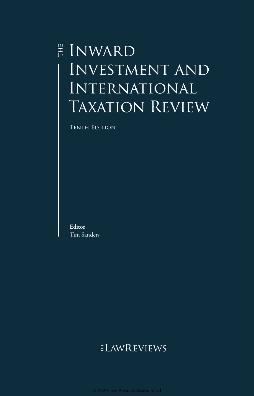## E INWARD Investment and International TAXATION REVIEW

Tenth Edition

**Editor** Tim Sanders

### ELAWREVIEWS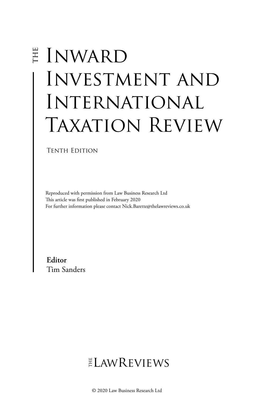# E INWARD Investment and International TAXATION REVIEW

Tenth Edition

Reproduced with permission from Law Business Research Ltd This article was first published in February 2020 For further information please contact Nick.Barette@thelawreviews.co.uk

**Editor** Tim Sanders

 $ELMR$  EVIEWS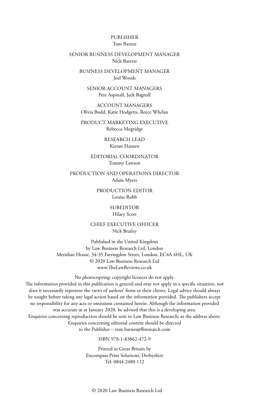#### PUBLISHER Tom Barnes

#### SENIOR BUSINESS DEVELOPMENT MANAGER Nick Barette

BUSINESS DEVELOPMENT MANAGER Joel Woods

SENIOR ACCOUNT MANAGERS Pere Aspinall, Jack Bagnall

ACCOUNT MANAGERS Olivia Budd, Katie Hodgetts, Reece Whelan

PRODUCT MARKETING EXECUTIVE Rebecca Mogridge

> RESEARCH LEAD Kieran Hansen

EDITORIAL COORDINATOR Tommy Lawson

PRODUCTION AND OPERATIONS DIRECTOR Adam Myers

> PRODUCTION EDITOR Louise Robb

> > SUBEDITOR Hilary Scott

CHIEF EXECUTIVE OFFICER Nick Brailey

Published in the United Kingdom by Law Business Research Ltd, London Meridian House, 34-35 Farringdon Street, London, EC4A 4HL, UK © 2020 Law Business Research Ltd www.TheLawReviews.co.uk

No photocopying: copyright licences do not apply. The information provided in this publication is general and may not apply in a specific situation, nor does it necessarily represent the views of authors' firms or their clients. Legal advice should always be sought before taking any legal action based on the information provided. The publishers accept no responsibility for any acts or omissions contained herein. Although the information provided was accurate as at January 2020, be advised that this is a developing area. Enquiries concerning reproduction should be sent to Law Business Research, at the address above. Enquiries concerning editorial content should be directed to the Publisher – tom.barnes@lbresearch.com

ISBN 978-1-83862-472-9

Printed in Great Britain by Encompass Print Solutions, Derbyshire Tel: 0844 2480 112

© 2020 Law Business Research Ltd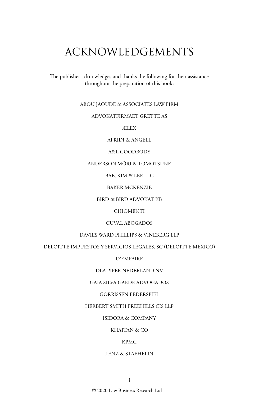### ACKNOWLEDGEMENTS

The publisher acknowledges and thanks the following for their assistance throughout the preparation of this book:

#### ABOU JAOUDE & ASSOCIATES LAW FIRM

#### ADVOKATFIRMAET GRETTE AS

ÆLEX

AFRIDI & ANGELL

#### A&L GOODBODY

#### ANDERSON MŌRI & TOMOTSUNE

BAE, KIM & LEE LLC

BAKER MCKENZIE

BIRD & BIRD ADVOKAT KB

CHIOMENTI

#### CUVAL ABOGADOS

DAVIES WARD PHILLIPS & VINEBERG LLP

DELOITTE IMPUESTOS Y SERVICIOS LEGALES, SC (DELOITTE MEXICO)

D'EMPAIRE

DLA PIPER NEDERLAND NV

#### GAIA SILVA GAEDE ADVOGADOS

GORRISSEN FEDERSPIEL

#### HERBERT SMITH FREEHILLS CIS LLP

ISIDORA & COMPANY

#### KHAITAN & CO

#### KPMG

#### LENZ & STAEHELIN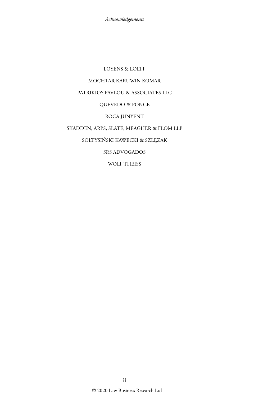LOYENS & LOEFF MOCHTAR KARUWIN KOMAR PATRIKIOS PAVLOU & ASSOCIATES LLC QUEVEDO & PONCE ROCA JUNYENT SKADDEN, ARPS, SLATE, MEAGHER & FLOM LLP SOŁTYSIŃSKI KAWECKI & SZLĘZAK SRS ADVOGADOS

WOLF THEISS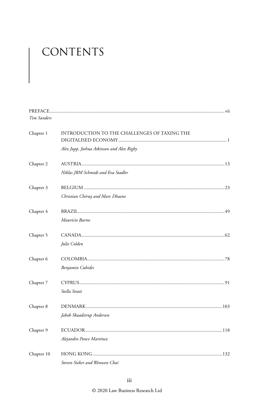### CONTENTS

| Tim Sanders |                                              |  |
|-------------|----------------------------------------------|--|
| Chapter 1   | INTRODUCTION TO THE CHALLENGES OF TAXING THE |  |
|             | Alex Jupp, Joshua Atkinson and Alex Rigby    |  |
| Chapter 2   |                                              |  |
|             | Niklas JRM Schmidt and Eva Stadler           |  |
| Chapter 3   |                                              |  |
|             | Christian Chéruy and Marc Dhaene             |  |
| Chapter 4   |                                              |  |
|             | Maurício Barros                              |  |
| Chapter 5   |                                              |  |
|             | Julie Colden                                 |  |
| Chapter 6   |                                              |  |
|             | Benjamin Cubides                             |  |
| Chapter 7   |                                              |  |
|             | Stella Strati                                |  |
| Chapter 8   |                                              |  |
|             | Jakob Skaadstrup Andersen                    |  |
| Chapter 9   |                                              |  |
|             | Alejandro Ponce Martínez                     |  |
| Chapter 10  |                                              |  |
|             | Steven Sieker and Wenwen Chai                |  |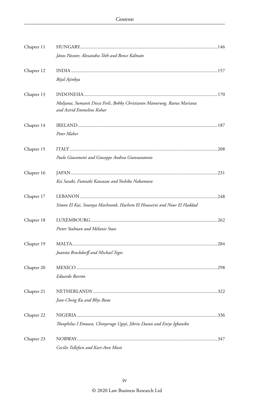| Chapter 11 |                                                                                                      |  |
|------------|------------------------------------------------------------------------------------------------------|--|
|            | János Pásztor, Alexandra Tóth and Bence Kálmán                                                       |  |
| Chapter 12 |                                                                                                      |  |
|            | Bijal Ajinkya                                                                                        |  |
| Chapter 13 |                                                                                                      |  |
|            | Mulyana, Sumanti Disca Ferli, Bobby Christianto Manurung, Ratna Mariana<br>and Astrid Emmeline Kohar |  |
| Chapter 14 |                                                                                                      |  |
|            | Peter Maher                                                                                          |  |
| Chapter 15 |                                                                                                      |  |
|            | Paolo Giacometti and Giuseppe Andrea Giannantonio                                                    |  |
| Chapter 16 |                                                                                                      |  |
|            | Kei Sasaki, Fumiaki Kawazoe and Yoshiko Nakamura                                                     |  |
| Chapter 17 |                                                                                                      |  |
|            | Simon El Kai, Souraya Machnouk, Hachem El Housseini and Nour El Haddad                               |  |
| Chapter 18 |                                                                                                      |  |
|            | Pieter Stalman and Mélanie Staes                                                                     |  |
| Chapter 19 |                                                                                                      |  |
|            | Juanita Brockdorff and Michail Tegos                                                                 |  |
| Chapter 20 |                                                                                                      |  |
|            | Eduardo Barrón                                                                                       |  |
| Chapter 21 |                                                                                                      |  |
|            | Jian-Cheng Ku and Rhys Bane                                                                          |  |
| Chapter 22 |                                                                                                      |  |
|            | Theophilus I Emuwa, Chinyerugo Ugoji, Jibrin Dasun and Eniye Igbanibo                                |  |
| Chapter 23 |                                                                                                      |  |
|            | Cecilie Tollefsen and Kari-Ann Mosti                                                                 |  |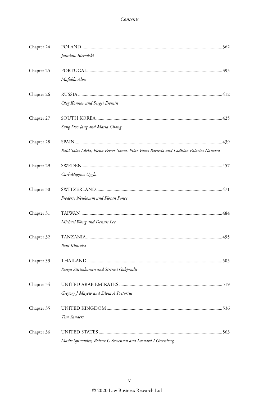| Chapter 24 | Jarosław Bieroński                                                                     |  |
|------------|----------------------------------------------------------------------------------------|--|
| Chapter 25 | Mafalda Alves                                                                          |  |
| Chapter 26 | Oleg Konnov and Sergei Eremin                                                          |  |
| Chapter 27 | Sung Doo Jang and Maria Chang                                                          |  |
| Chapter 28 | Raúl Salas Lúcia, Elena Ferrer-Sama, Pilar Vacas Barreda and Ladislao Palacios Navarro |  |
| Chapter 29 | Carl-Magnus Uggla                                                                      |  |
| Chapter 30 | Frédéric Neukomm and Floran Ponce                                                      |  |
| Chapter 31 | Michael Wong and Dennis Lee                                                            |  |
| Chapter 32 | Paul Kibuuka                                                                           |  |
| Chapter 33 | Panya Sittisakonsin and Sirirasi Gobpradit                                             |  |
| Chapter 34 | Gregory J Mayew and Silvia A Pretorius                                                 |  |
| Chapter 35 | Tim Sanders                                                                            |  |
| Chapter 36 | Moshe Spinowitz, Robert C Stevenson and Leonard I Greenberg                            |  |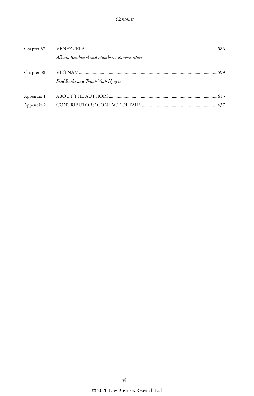|            | Alberto Benshimol and Humberto Romero-Muci |  |
|------------|--------------------------------------------|--|
| Chapter 38 |                                            |  |
|            | Fred Burke and Thanh Vinh Nguyen           |  |
| Appendix 1 |                                            |  |
| Appendix 2 |                                            |  |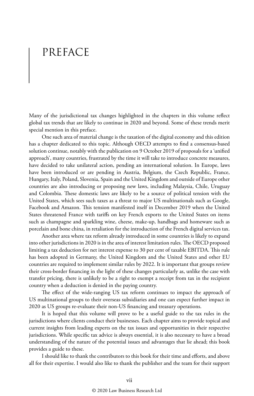### PREFACE

Many of the jurisdictional tax changes highlighted in the chapters in this volume reflect global tax trends that are likely to continue in 2020 and beyond. Some of these trends merit special mention in this preface.

One such area of material change is the taxation of the digital economy and this edition has a chapter dedicated to this topic. Although OECD attempts to find a consensus-based solution continue, notably with the publication on 9 October 2019 of proposals for a 'unified approach', many countries, frustrated by the time it will take to introduce concrete measures, have decided to take unilateral action, pending an international solution. In Europe, laws have been introduced or are pending in Austria, Belgium, the Czech Republic, France, Hungary, Italy, Poland, Slovenia, Spain and the United Kingdom and outside of Europe other countries are also introducing or proposing new laws, including Malaysia, Chile, Uruguay and Colombia. These domestic laws are likely to be a source of political tension with the United States, which sees such taxes as a threat to major US multinationals such as Google, Facebook and Amazon. This tension manifested itself in December 2019 when the United States threatened France with tariffs on key French exports to the United States on items such as champagne and sparkling wine, cheese, make-up, handbags and homeware such as porcelain and bone china, in retaliation for the introduction of the French digital services tax.

Another area where tax reform already introduced in some countries is likely to expand into other jurisdictions in 2020 is in the area of interest limitation rules. The OECD proposed limiting a tax deduction for net interest expense to 30 per cent of taxable EBITDA. This rule has been adopted in Germany, the United Kingdom and the United States and other EU countries are required to implement similar rules by 2022. It is important that groups review their cross-border financing in the light of these changes particularly as, unlike the case with transfer pricing, there is unlikely to be a right to exempt a receipt from tax in the recipient country when a deduction is denied in the paying country.

The effect of the wide-ranging US tax reform continues to impact the approach of US multinational groups to their overseas subsidiaries and one can expect further impact in 2020 as US groups re-evaluate their non-US financing and treasury operations.

It is hoped that this volume will prove to be a useful guide to the tax rules in the jurisdictions where clients conduct their businesses. Each chapter aims to provide topical and current insights from leading experts on the tax issues and opportunities in their respective jurisdictions. While specific tax advice is always essential, it is also necessary to have a broad understanding of the nature of the potential issues and advantages that lie ahead; this book provides a guide to these.

I should like to thank the contributors to this book for their time and efforts, and above all for their expertise. I would also like to thank the publisher and the team for their support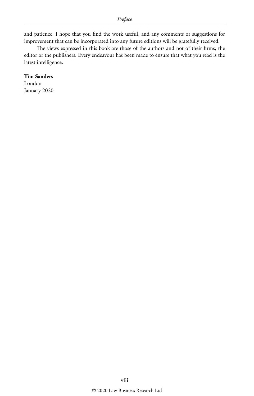and patience. I hope that you find the work useful, and any comments or suggestions for improvement that can be incorporated into any future editions will be gratefully received.

The views expressed in this book are those of the authors and not of their firms, the editor or the publishers. Every endeavour has been made to ensure that what you read is the latest intelligence.

#### **Tim Sanders**

London January 2020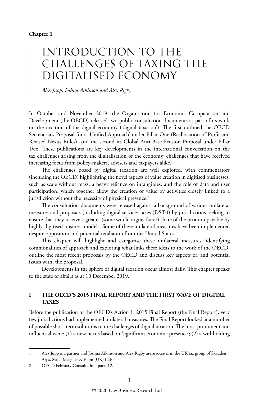### INTRODUCTION TO THE CHALLENGES OF TAXING THE DIGITALISED ECONOMY

*Alex Jupp, Joshua Atkinson and Alex Rigby*<sup>1</sup>

In October and November 2019, the Organisation for Economic Co-operation and Development (the OECD) released two public consultation documents as part of its work on the taxation of the digital economy ('digital taxation'). The first outlined the OECD Secretariat's Proposal for a 'Unified Approach' under Pillar One (Reallocation of Profit and Revised Nexus Rules), and the second its Global Anti-Base Erosion Proposal under Pillar Two. These publications are key developments in the international conversation on the tax challenges arising from the digitalisation of the economy; challenges that have received increasing focus from policy-makers, advisers and taxpayers alike.

The challenges posed by digital taxation are well explored, with commentators (including the OECD) highlighting the novel aspects of value creation in digitised businesses, such as scale without mass, a heavy reliance on intangibles, and the role of data and user participation, which together allow the creation of value by activities closely linked to a jurisdiction without the necessity of physical presence.<sup>2</sup>

The consultation documents were released against a background of various unilateral measures and proposals (including digital services taxes (DSTs)) by jurisdictions seeking to ensure that they receive a greater (some would argue, fairer) share of the taxation payable by highly-digitised business models. Some of these unilateral measures have been implemented despite opposition and potential retaliation from the United States.

This chapter will highlight and categorise these unilateral measures, identifying commonalities of approach and exploring what links these ideas to the work of the OECD, outline the most recent proposals by the OECD and discuss key aspects of, and potential issues with, the proposal.

Developments in the sphere of digital taxation occur almost daily. This chapter speaks to the state of affairs as at 10 December 2019.

#### **I THE OECD'S 2015 FINAL REPORT AND THE FIRST WAVE OF DIGITAL TAXES**

Before the publication of the OECD's Action 1: 2015 Final Report (the Final Report), very few jurisdictions had implemented unilateral measures. The Final Report looked at a number of possible short-term solutions to the challenges of digital taxation. The most prominent and influential were: (1) a new nexus based on 'significant economic presence'; (2) a withholding

<sup>1</sup> Alex Jupp is a partner and Joshua Atkinson and Alex Rigby are associates in the UK tax group of Skadden, Arps, Slate, Meagher & Flom (UK) LLP.

<sup>2</sup> OECD February Consultation, para. 12.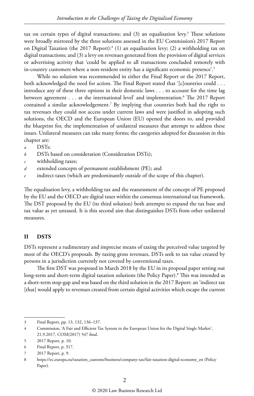tax on certain types of digital transactions; and (3) an equalisation levy.<sup>3</sup> These solutions were broadly mirrored by the three solutions assessed in the EU Commission's 2017 Report on Digital Taxation (the 2017 Report):<sup>4</sup> (1) an equalisation levy; (2) a withholding tax on digital transactions; and (3) a levy on revenues generated from the provision of digital services or advertising activity that 'could be applied to all transactions concluded remotely with in-country customers where a non-resident entity has a significant economic presence'.<sup>5</sup>

While no solution was recommended in either the Final Report or the 2017 Report, both acknowledged the need for action. The Final Report stated that '[c]ountries could . . . introduce any of these three options in their domestic laws . . . to account for the time lag between agreement . . . at the international level' and implementation.6 The 2017 Report contained a similar acknowledgement.7 By implying that countries both had the right to tax revenues they could not access under current laws and were justified in adopting such solutions, the OECD and the European Union (EU) opened the doors to, and provided the blueprint for, the implementation of unilateral measures that attempt to address these issues. Unilateral measures can take many forms; the categories adopted for discussion in this chapter are:

- *a* DSTs;
- *b* DSTs based on consideration (Consideration DSTs);
- *c* withholding taxes;
- *d* extended concepts of permanent establishment (PE); and
- *e* indirect taxes (which are predominantly outside of the scope of this chapter).

The equalisation levy, a withholding tax and the reassessment of the concept of PE proposed by the EU and the OECD are digital taxes within the consensus international tax framework. The DST proposed by the EU (its third solution) both attempts to expand the tax base and tax value as yet untaxed. It is this second aim that distinguishes DSTs from other unilateral measures.

#### **II DSTS**

DSTs represent a rudimentary and imprecise means of taxing the perceived value targeted by most of the OECD's proposals. By taxing gross revenues, DSTs seek to tax value created by persons in a jurisdiction currently not covered by conventional taxes.

The first DST was proposed in March 2018 by the EU in its proposal paper setting out long-term and short-term digital taxation solutions (the Policy Paper).8 This was intended as a short-term stop-gap and was based on the third solution in the 2017 Report: an 'indirect tax [that] would apply to revenues created from certain digital activities which escape the current

<sup>3</sup> Final Report, pp. 13, 132, 136–137.

<sup>4</sup> Commission, 'A Fair and Efficient Tax System in the European Union for the Digital Single Market', 21.9.2017, COM(2017) 547 final.

<sup>5</sup> 2017 Report, p. 10.

<sup>6</sup> Final Report, p. 317.

<sup>7</sup> 2017 Report, p. 9.

<sup>8</sup> https://ec.europa.eu/taxation\_customs/business/company-tax/fair-taxation-digital-economy\_en (Policy Paper).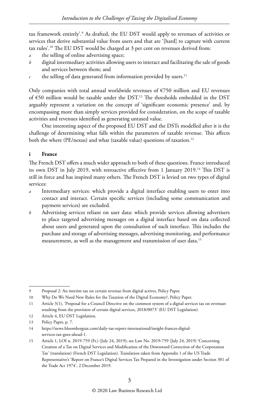tax framework entirely'.9 As drafted, the EU DST would apply to revenues of activities or services that derive substantial value from users and that are '[hard] to capture with current tax rules'.10 The EU DST would be charged at 3 per cent on revenues derived from:

- the selling of online advertising space;
- *b* digital intermediary activities allowing users to interact and facilitating the sale of goods and services between them; and
- $c$  the selling of data generated from information provided by users.<sup>11</sup>

Only companies with total annual worldwide revenues of  $E$ 50 million and EU revenues of  $650$  million would be taxable under the DST.<sup>12</sup> The thresholds embedded in the DST arguably represent a variation on the concept of 'significant economic presence' and, by encompassing more than simply services provided for consideration, on the scope of taxable activities and revenues identified as generating untaxed value.

One interesting aspect of the proposed EU DST and the DSTs modelled after it is the challenge of determining what falls within the parameters of taxable revenue. This affects both the where (PE/nexus) and what (taxable value) questions of taxation.<sup>13</sup>

#### **i France**

The French DST offers a much wider approach to both of these questions. France introduced its own DST in July 2019, with retroactive effective from 1 January 2019.14 This DST is still in force and has inspired many others. The French DST is levied on two types of digital services:

- *a* Intermediary services: which provide a digital interface enabling users to enter into contact and interact. Certain specific services (including some communication and payment services) are excluded.
- *b* Advertising services reliant on user data: which provide services allowing advertisers to place targeted advertising messages on a digital interface based on data collected about users and generated upon the consultation of such interface. This includes the purchase and storage of advertising messages, advertising monitoring, and performance measurement, as well as the management and transmission of user data.15

<sup>9</sup> Proposal 2: An interim tax on certain revenue from digital actives, Policy Paper.

<sup>10</sup> Why Do We Need New Rules for the Taxation of the Digital Economy?, Policy Paper.

<sup>11</sup> Article 3(1), 'Proposal for a Council Directive on the common system of a digital services tax on revenues resulting from the provision of certain digital services, 2018/0073' (EU DST Legislation).

<sup>12</sup> Article 4, EU DST Legislation.

<sup>13</sup> Policy Paper, p. 7.

<sup>14</sup> https://news.bloombergtax.com/daily-tax-report-international/insight-frances-digitalservices-tax-goes-ahead-1.

<sup>15</sup> Article 1, LOI n. 2019-759 (Fr.) (July 24, 2019); see Law No. 2019-759 (July 24, 2019) 'Concerning Creation of a Tax on Digital Services and Modification of the Downward Correction of the Corporation Tax' (translation) (French DST Legislation). Translation taken from Appendix 1 of the US Trade Representative's 'Report on France's Digital Services Tax Prepared in the Investigation under Section 301 of the Trade Act 1974', 2 December 2019.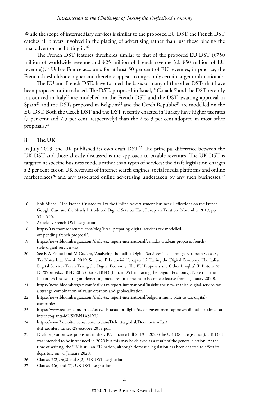While the scope of intermediary services is similar to the proposed EU DST, the French DST catches all players involved in the placing of advertising rather than just those placing the final advert or facilitating it.16

The French DST features thresholds similar to that of the proposed EU DST ( $\epsilon$ 750 million of worldwide revenue and €25 million of French revenue (cf. €50 million of EU revenue)).17 Unless France accounts for at least 50 per cent of EU revenues, in practice, the French thresholds are higher and therefore appear to target only certain larger multinationals.

The EU and French DSTs have formed the basis of many of the other DSTs that have been proposed or introduced. The DSTs proposed in Israel,<sup>18</sup> Canada<sup>19</sup> and the DST recently introduced in Italy<sup>20</sup> are modelled on the French DST and the DST awaiting approval in Spain<sup>21</sup> and the DSTs proposed in Belgium<sup>22</sup> and the Czech Republic<sup>23</sup> are modelled on the EU DST. Both the Czech DST and the DST recently enacted in Turkey have higher tax rates (7 per cent and 7.5 per cent, respectively) than the 2 to 3 per cent adopted in most other proposals.24

#### **ii The UK**

In July 2019, the UK published its own draft DST.<sup>25</sup> The principal difference between the UK DST and those already discussed is the approach to taxable revenues. The UK DST is targeted at specific business models rather than types of services: the draft legislation charges a 2 per cent tax on UK revenues of internet search engines, social media platforms and online marketplaces<sup>26</sup> and any associated online advertising undertaken by any such businesses.<sup>27</sup>

<sup>16</sup> Bob Michel, 'The French Crusade to Tax the Online Advertisement Business: Reflections on the French Google Case and the Newly Introduced Digital Services Tax', European Taxation, November 2019, pp. 535–536.

<sup>17</sup> Article 1, French DST Legislation.

<sup>18</sup> https://tax.thomsonreuters.com/blog/israel-preparing-digital-services-tax-modelledoff-pending-french-proposal/.

<sup>19</sup> https://news.bloombergtax.com/daily-tax-report-international/canadas-trudeau-proposes-frenchstyle-digital-services-tax.

<sup>20</sup> See R-A Papotti and M Caziero, 'Analyzing the Italina Digital Servicees Tax Through European Glasses', Tax Notes Int., Nov 4, 2019. See also, P. Ludovivi, 'Chapter 12: Taxing the Digital Economy: The Italian Digital Services Tax in Taxing the Digital Economy: The EU Proposals and Other Insights' (P. Pistone & D. Weber eds., IBFD 2019) Books IBFD (Italian DST in Taxing the Digital Economy). Note that the Italian DST is awaiting implementing measures (it is meant to become effective from 1 January 2020).

<sup>21</sup> https://news.bloombergtax.com/daily-tax-report-international/insight-the-new-spanish-digital-service-taxa-strange-combination-of-value-creation-and-geolocalization.

<sup>22</sup> https://news.bloombergtax.com/daily-tax-report-international/belgium-mulls-plan-to-tax-digitalcompanies.

<sup>23</sup> https://www.reuters.com/article/us-czech-taxation-digital/czech-government-approves-digital-tax-aimed-atinternet-giants-idUSKBN1XS1XU.

<sup>24</sup> https://www2.deloitte.com/content/dam/Deloitte/global/Documents/Tax/ dttl-tax-alert-turkey-28-october-2019.pdf.

<sup>25</sup> Draft legislation was published in the UK's Finance Bill 2019 – 2020 (the UK DST Legislation). UK DST was intended to be introduced in 2020 but this may be delayed as a result of the general election. At the time of writing, the UK is still an EU nation, although domestic legislation has been enacted to effect its departure on 31 January 2020.

<sup>26</sup> Clauses 2(2), 4(2) and 8(2), UK DST Legislation.

<sup>27</sup> Clauses 4(6) and (7), UK DST Legislation.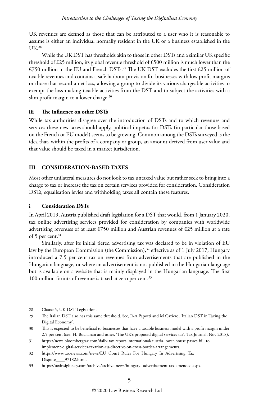UK revenues are defined as those that can be attributed to a user who it is reasonable to assume is either an individual normally resident in the UK or a business established in the  $UK<sup>28</sup>$ 

While the UK DST has thresholds akin to those in other DSTs and a similar UK specific threshold of £25 million, its global revenue threshold of £500 million is much lower than the €750 million in the EU and French DSTs.<sup>29</sup> The UK DST excludes the first £25 million of taxable revenues and contains a safe harbour provision for businesses with low profit margins or those that record a net loss, allowing a group to divide its various chargeable activities to exempt the loss-making taxable activities from the DST and to subject the activities with a slim profit margin to a lower charge. $30$ 

#### **iii The influence on other DSTs**

While tax authorities disagree over the introduction of DSTs and to which revenues and services these new taxes should apply, political impetus for DSTs (in particular those based on the French or EU model) seems to be growing. Common among the DSTs surveyed is the idea that, within the profits of a company or group, an amount derived from user value and that value should be taxed in a market jurisdiction.

#### **III CONSIDERATION-BASED TAXES**

Most other unilateral measures do not look to tax untaxed value but rather seek to bring into a charge to tax or increase the tax on certain services provided for consideration. Consideration DSTs, equalisation levies and withholding taxes all contain these features.

#### **i Consideration DSTs**

In April 2019, Austria published draft legislation for a DST that would, from 1 January 2020, tax online advertising services provided for consideration by companies with worldwide advertising revenues of at least €750 million and Austrian revenues of €25 million at a rate of 5 per cent.<sup>31</sup>

Similarly, after its initial tiered advertising tax was declared to be in violation of EU law by the European Commission (the Commission), $32$  effective as of 1 July 2017, Hungary introduced a 7.5 per cent tax on revenues from advertisements that are published in the Hungarian language, or where an advertisement is not published in the Hungarian language but is available on a website that is mainly displayed in the Hungarian language. The first 100 million forints of revenue is taxed at zero per cent.<sup>33</sup>

<sup>28</sup> Clause 5, UK DST Legislation.

<sup>29</sup> The Italian DST also has this same threshold. See, R-A Papotti and M Caziero, 'Italian DST in Taxing the Digital Economy'.

<sup>30</sup> This is expected to be beneficial to businesses that have a taxable business model with a profit margin under 2.5 per cent (see, H. Buchanan and other, 'The UK's proposed digital services tax', Tax Journal, Nov 2018).

<sup>31</sup> https://news.bloombergtax.com/daily-tax-report-international/austria-lower-house-passes-bill-toimplement-digital-services-taxation-eu-directive-on-cross-border-arrangements.

<sup>32</sup> https://www.tax-news.com/news/EU\_Court\_Rules\_For\_Hungary\_In\_Advertising\_Tax\_ Dispute\_\_\_\_97182.html.

<sup>33</sup> https://taxinsights.ey.com/archive/archive-news/hungary--advertisement-tax-amended.aspx.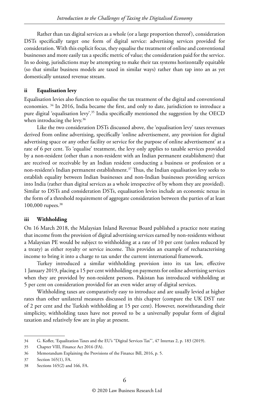Rather than tax digital services as a whole (or a large proportion thereof), consideration DSTs specifically target one form of digital service: advertising services provided for consideration. With this explicit focus, they equalise the treatment of online and conventional businesses and more easily tax a specific metric of value; the consideration paid for the service. In so doing, jurisdictions may be attempting to make their tax systems horizontally equitable (so that similar business models are taxed in similar ways) rather than tap into an as yet domestically untaxed revenue stream.

#### **ii Equalisation levy**

Equalisation levies also function to equalise the tax treatment of the digital and conventional economies. 34 In 2016, India became the first, and only to date, jurisdiction to introduce a pure digital 'equalisation levy'.35 India specifically mentioned the suggestion by the OECD when introducing the levy.<sup>36</sup>

Like the two consideration DSTs discussed above, the 'equalisation levy' taxes revenues derived from online advertising, specifically 'online advertisement, any provision for digital advertising space or any other facility or service for the purpose of online advertisement' at a rate of 6 per cent. To 'equalise' treatment, the levy only applies to taxable services provided by a non-resident (other than a non-resident with an Indian permanent establishment) that are received or receivable by an Indian resident conducting a business or profession or a non-resident's Indian permanent establishment.37 Thus, the Indian equalisation levy seeks to establish equality between Indian businesses and non-Indian businesses providing services into India (rather than digital services as a whole irrespective of by whom they are provided). Similar to DSTs and consideration DSTs, equalisation levies include an economic nexus in the form of a threshold requirement of aggregate consideration between the parties of at least 100,000 rupees.<sup>38</sup>

#### **iii Withholding**

On 16 March 2018, the Malaysian Inland Revenue Board published a practice note stating that income from the provision of digital advertising services earned by non-residents without a Malaysian PE would be subject to withholding at a rate of 10 per cent (unless reduced by a treaty) as either royalty or service income. This provides an example of recharacterising income to bring it into a charge to tax under the current international framework.

Turkey introduced a similar withholding provision into its tax law, effective 1 January 2019, placing a 15 per cent withholding on payments for online advertising services when they are provided by non-resident persons. Pakistan has introduced withholding at 5 per cent on consideration provided for an even wider array of digital services.

Withholding taxes are comparatively easy to introduce and are usually levied at higher rates than other unilateral measures discussed in this chapter (compare the UK DST rate of 2 per cent and the Turkish withholding at 15 per cent). However, notwithstanding their simplicity, withholding taxes have not proved to be a universally popular form of digital taxation and relatively few are in play at present.

<sup>34</sup> G. Kofler, 'Equalization Taxes and the EU's "Digital Services Tax"', 47 Intertax 2, p. 183 (2019).

<sup>35</sup> Chapter VIII, Finance Act 2016 (FA).

<sup>36</sup> Memorandum Explaining the Provisions of the Finance Bill, 2016, p. 5.

<sup>37</sup> Section 165(1), FA.

<sup>38</sup> Sections 165(2) and 166, FA.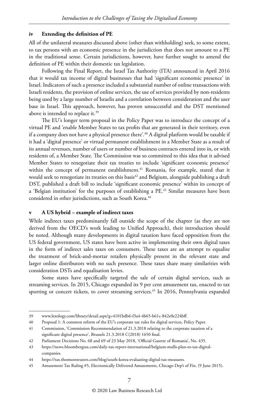#### **iv Extending the definition of PE**

All of the unilateral measures discussed above (other than withholding) seek, to some extent, to tax persons with an economic presence in the jurisdiction that does not amount to a PE in the traditional sense. Certain jurisdictions, however, have further sought to amend the definition of PE within their domestic tax legislation.

Following the Final Report, the Israel Tax Authority (ITA) announced in April 2016 that it would tax income of digital businesses that had 'significant economic presence' in Israel. Indicators of such a presence included a substantial number of online transactions with Israeli residents, the provision of online services, the use of services provided by non-residents being used by a large number of Israelis and a correlation between consideration and the user base in Israel. This approach, however, has proven unsuccessful and the DST mentioned above is intended to replace it.39

The EU's longer term proposal in the Policy Paper was to introduce the concept of a virtual PE and 'enable Member States to tax profits that are generated in their territory, even if a company does not have a physical presence there'.<sup>40</sup> A digital platform would be taxable if it had a 'digital presence' or virtual permanent establishment in a Member State as a result of its annual revenues, number of users or number of business contracts entered into in, or with residents of, a Member State. The Commission was so committed to this idea that it advised Member States to renegotiate their tax treaties to include 'significant economic presence' within the concept of permanent establishment.<sup>41</sup> Romania, for example, stated that it would seek to renegotiate its treaties on this basis<sup>42</sup> and Belgium, alongside publishing a draft DST, published a draft bill to include 'significant economic presence' within its concept of a 'Belgian institution' for the purposes of establishing a  $PE<sup>43</sup>$  Similar measures have been considered in other jurisdictions, such as South Korea.<sup>44</sup>

#### **v A US hybrid – example of indirect taxes**

While indirect taxes predominantly fall outside the scope of the chapter (as they are not derived from the OECD's work leading to Unified Approach), their introduction should be noted. Although many developments in digital taxation have faced opposition from the US federal government, US states have been active in implementing their own digital taxes in the form of indirect sales taxes on consumers. These taxes are an attempt to equalise the treatment of brick-and-mortar retailers physically present in the relevant state and larger online distributors with no such presence. These taxes share many similarities with consideration DSTs and equalisation levies.

Some states have specifically targeted the sale of certain digital services, such as streaming services. In 2015, Chicago expanded its 9 per cent amusement tax, enacted to tax sporting or concert tickets, to cover streaming services.<sup>45</sup> In 2016, Pennsylvania expanded

<sup>39</sup> www.lexology.com/library/detail.aspx?g=4101bdb6-f3a4-4b65-b61c-842e0e224bff.

<sup>40</sup> Proposal 1: A common reform of the EU's corporate tax rules for digital services, Policy Paper.

<sup>41</sup> Commission, 'Commission Recommendation of 21.3.2018 relating to the corporate taxation of a significant digital presence', Brussels 21.3.2018 C(2018) 1650 final.

<sup>42</sup> Parliament Decisions No. 68 and 69 of 23 May 2018, 'Official Gazette of Romania', No. 435.

<sup>43</sup> https://news.bloombergtax.com/daily-tax-report-international/belgium-mulls-plan-to-tax-digitalcompanies.

<sup>44</sup> https://tax.thomsonreuters.com/blog/south-korea-evaluating-digital-tax-measures.

<sup>45</sup> Amusement Tax Ruling #5, Electronically Delivered Amusements, Chicago Dep't of Fin. (9 June 2015).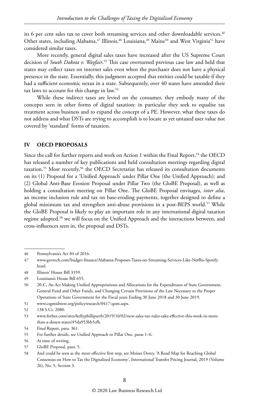its 6 per cent sales tax to cover both streaming services and other downloadable services.46 Other states, including Alabama,<sup>47</sup> Illinois,<sup>48</sup> Louisiana,<sup>49</sup> Maine<sup>50</sup> and West Virginia<sup>51</sup> have considered similar taxes.

More recently, general digital sales taxes have increased after the US Supreme Court decision of *South Dakota v. Wayfair*. 52 This case overturned previous case law and held that states may collect taxes on internet sales even when the purchaser does not have a physical presence in the state. Essentially, this judgment accepted that entities could be taxable if they had a sufficient economic nexus in a state. Subsequently, over 40 states have amended their tax laws to account for this change in law.53

While these indirect taxes are levied on the consumer, they embody many of the concepts seen in other forms of digital taxation: in particular they seek to equalise tax treatment across business and to expand the concept of a PE. However, what these taxes do not address and what DSTs are trying to accomplish is to locate as yet untaxed user value not covered by 'standard' forms of taxation.

#### **IV OECD PROPOSALS**

Since the call for further reports and work on Action 1 within the Final Report,<sup>54</sup> the OECD has released a number of key publications and held consultation meetings regarding digital taxation.<sup>55</sup> Most recently,<sup>56</sup> the OECD Secretariat has released its consultation documents on its (1) Proposal for a 'Unified Approach' under Pillar One (the Unified Approach); and (2) Global Anti-Base Erosion Proposal under Pillar Two (the GloBE Proposal), as well as holding a consultation meeting on Pillar One. The GloBE Proposal envisages, *inter alia*, an income inclusion rule and tax on base-eroding payments, together designed to define a global minimum tax and strengthen anti-abuse provisions in a post-BEPS world.<sup>57</sup> While the GloBE Proposal is likely to play an important role in any international digital taxation regime adopted,<sup>58</sup> we will focus on the Unified Approach and the interactions between, and cross-influences seen in, the proposal and DSTs.

51 www.csgmidwest.org/policyresearch/0417-qom.aspx.

<sup>46</sup> Pennsylvania's Act 84 of 2016.

<sup>47</sup> www.govtech.com/budget-finance/Alabama-Proposes-Taxes-on-Streaming-Services-Like-Netflix-Spotify. html.

<sup>48</sup> Illinois' House Bill 3359.

<sup>49</sup> Louisiana's House Bill 655.

<sup>50</sup> 20-C, An Act Making Unified Appropriations and Allocations for the Expenditures of State Government, General Fund and Other Funds, and Changing Certain Provisions of the Law Necessary to the Proper Operations of State Government for the Fiscal years Ending 30 June 2018 and 30 June 2019.

<sup>52</sup> 138 S.Ct. 2080.

<sup>53</sup> www.forbes.com/sites/kellyphillipserb/2019/10/02/new-sales-tax-rules-take-effective-this-week-in-morethan-a-dozen-states/#5da953bb5cfb.

<sup>54</sup> Final Report, para. 361.

<sup>55</sup> For further details, see Unified Approach to Pillar One, paras 1–6.

<sup>56</sup> At time of writing.

<sup>57</sup> GloBE Proposal, para. 5.

<sup>58</sup> And could be seen as the more effective first step, see Moises Dorey, 'A Road Map for Reaching Global Consensus on How to Tax the Digitalized Economy', International Transfer Pricing Journal, 2019 (Volume 26), No. 5, Section 3.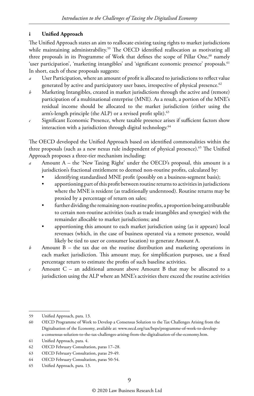#### **i Unified Approach**

The Unified Approach states an aim to reallocate existing taxing rights to market jurisdictions while maintaining administrability.<sup>59</sup> The OECD identified reallocation as motivating all three proposals in its Programme of Work that defines the scope of Pillar One,<sup>60</sup> namely 'user participation', 'marketing intangibles' and 'significant economic presence' proposals.<sup>61</sup> In short, each of these proposals suggests:

- User Participation, where an amount of profit is allocated to jurisdictions to reflect value generated by active and participatory user bases, irrespective of physical presence.<sup>62</sup>
- *b* Marketing Intangibles, created in market jurisdictions through the active and (remote) participation of a multinational enterprise (MNE). As a result, a portion of the MNE's residual income should be allocated to the market jurisdiction (either using the arm's-length principle (the ALP) or a revised profit split).<sup>63</sup>
- *c* Significant Economic Presence, where taxable presence arises if sufficient factors show interaction with a jurisdiction through digital technology.<sup>64</sup>

The OECD developed the Unified Approach based on identified commonalities within the three proposals (such as a new nexus rule independent of physical presence).<sup>65</sup> The Unified Approach proposes a three-tier mechanism including:

- *a* Amount A the 'New Taxing Right' under the OECD's proposal, this amount is a jurisdiction's fractional entitlement to deemed non-routine profits, calculated by:
	- identifying standardised MNE profit (possibly on a business-segment basis);
	- apportioning part of this profit between routine returns to activities in jurisdictions where the MNE is resident (as traditionally understood). Routine returns may be proxied by a percentage of return on sales;
	- further dividing the remaining non-routine profits, a proportion being attributable to certain non-routine activities (such as trade intangibles and synergies) with the remainder allocable to market jurisdictions; and
	- apportioning this amount to each market jurisdiction using (as it appears) local revenues (which, in the case of business operated via a remote presence, would likely be tied to user or consumer location) to generate Amount A.
- *b* Amount B the tax due on the routine distribution and marketing operations in each market jurisdiction. This amount may, for simplification purposes, use a fixed percentage return to estimate the profits of such baseline activities.
- *c* Amount C an additional amount above Amount B that may be allocated to a jurisdiction using the ALP where an MNE's activities there exceed the routine activities

<sup>59</sup> Unified Approach, para. 13.

<sup>60</sup> OECD Programme of Work to Develop a Consensus Solution to the Tax Challenges Arising from the Digitalisation of the Economy, available at: www.oecd.org/tax/beps/programme-of-work-to-developa-consensus-solution-to-the-tax-challenges-arising-from-the-digitalisation-of-the-economy.htm.

<sup>61</sup> Unified Approach, para. 4.

<sup>62</sup> OECD February Consultation, paras 17–28.

<sup>63</sup> OECD February Consultation, paras 29-49.

<sup>64</sup> OECD February Consultation, paras 50-54.

<sup>65</sup> Unified Approach, para. 13.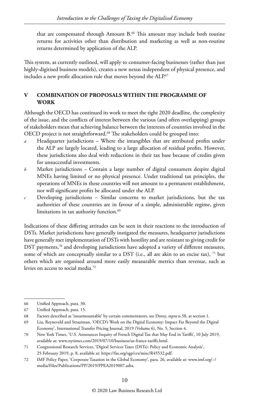that are compensated through Amount B.<sup>66</sup> This amount may include both routine returns for activities other than distribution and marketing as well as non-routine returns determined by application of the ALP.

This system, as currently outlined, will apply to consumer-facing businesses (rather than just highly-digitised business models), creates a new nexus independent of physical presence, and includes a new profit allocation rule that moves beyond the ALP.<sup>67</sup>

#### **V COMBINATION OF PROPOSALS WITHIN THE PROGRAMME OF WORK**

Although the OECD has continued its work to meet the tight 2020 deadline, the complexity of the issue, and the conflicts of interest between the various (and often overlapping) groups of stakeholders mean that achieving balance between the interests of countries involved in the OECD project is not straightforward.<sup>68</sup> The stakeholders could be grouped into:

- *a* Headquarter jurisdictions Where the intangibles that are attributed profits under the ALP are largely located, leading to a large allocation of residual profits. However, these jurisdictions also deal with reductions in their tax base because of credits given for unsuccessful investments.
- *b* Market jurisdictions Contain a large number of digital consumers despite digital MNEs having limited or no physical presence. Under traditional tax principles, the operations of MNEs in these countries will not amount to a permanent establishment, nor will significant profits be allocated under the ALP.
- *c* Developing jurisdictions Similar concerns to market jurisdictions, but the tax authorities of these countries are in favour of a simple, administrable regime, given limitations in tax authority function.<sup>69</sup>

Indications of these differing attitudes can be seen in their reactions to the introduction of DSTs. Market jurisdictions have generally instigated the measures, headquarter jurisdictions have generally met implementation of DSTs with hostility and are resistant to giving credit for DST payments,<sup>70</sup> and developing jurisdictions have adopted a variety of different measures, some of which are conceptually similar to a DST (i.e., all are akin to an excise tax),  $71$  but others which are organised around more easily measurable metrics than revenue, such as levies on access to social media.72

<sup>66</sup> Unified Approach, para. 30.

<sup>67</sup> Unified Approach, para. 15.

<sup>68</sup> Factors described as 'insurmountable' by certain commentators, see Dorey, *supra* n.58, at section 1.

<sup>69</sup> Liu, Reyneveld and Straatman, 'OECD's Work on the Digital Economy: Impact Far Beyond the Digital Economy', International Transfer Pricing Journal, 2019 (Volume 6), No. 5, Section 4.

<sup>70</sup> New York Times, 'U.S. Announces Inquiry of French Digital Tax that May End in Tariffs', 10 July 2019, available at: www.nytimes.com/2019/07/10/business/us-france-tariffs.html.

<sup>71</sup> Congressional Research Services, 'Digital Services Taxes (DSTs): Policy and Economic Analysis', 25 February 2019, p. 8, available at: https://fas.org/sgp/crs/misc/R45532.pdf.

<sup>72</sup> IMF Policy Paper, 'Corporate Taxation in the Global Economy', para. 26, available at: www.imf.org/~/ media/Files/Publications/PP/2019/PPEA2019007.ashx.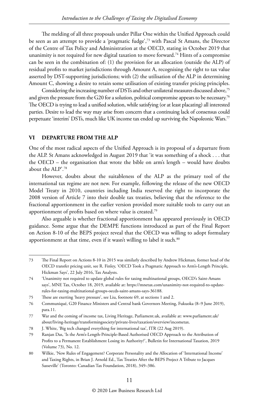The melding of all three proposals under Pillar One within the Unified Approach could be seen as an attempt to provide a 'pragmatic fudge', $7<sup>3</sup>$  with Pascal St Amans, the Director of the Centre of Tax Policy and Administration at the OECD, stating in October 2019 that unanimity is not required for new digital taxation to move forward.<sup>74</sup> Hints of a compromise can be seen in the combination of: (1) the provision for an allocation (outside the ALP) of residual profits to market jurisdictions through Amount A, recognising the right to tax value asserted by DST-supporting jurisdictions; with (2) the utilisation of the ALP in determining Amount C, showing a desire to retain some utilisation of existing transfer pricing principles.

Considering the increasing number of DSTs and other unilateral measures discussed above,<sup>75</sup> and given the pressure from the G20 for a solution, political compromise appears to be necessary.<sup>76</sup> The OECD is trying to lead a unified solution, while satisfying (or at least placating) all interested parties. Desire to lead the way may arise from concern that a continuing lack of consensus could perpetuate 'interim' DSTs, much like UK income tax ended up surviving the Napoleonic Wars.<sup>77</sup>

#### **VI DEPARTURE FROM THE ALP**

One of the most radical aspects of the Unified Approach is its proposal of a departure from the ALP. St Amans acknowledged in August 2019 that 'it was something of a shock . . . that the OECD – the organisation that wrote the bible on arm's length – would have doubts about the ALP'.78

However, doubts about the suitableness of the ALP as the primary tool of the international tax regime are not new. For example, following the release of the new OECD Model Treaty in 2010, countries including India reserved the right to incorporate the 2008 version of Article 7 into their double tax treaties, believing that the reference to the fractional apportionment in the earlier version provided more suitable tools to carry out an apportionment of profits based on where value is created.79

Also arguable is whether fractional apportionment has appeared previously in OECD guidance. Some argue that the DEMPE functions introduced as part of the Final Report on Action 8-10 of the BEPS project reveal that the OECD was willing to adopt formulary apportionment at that time, even if it wasn't willing to label it such.<sup>80</sup>

<sup>73</sup> The Final Report on Actions 8-10 in 2015 was similarly described by Andrew Hickman, former head of the OECD transfer pricing unit, see R. Finley, 'OECD Took a Pragmatic Approach to Arm's-Length Principle, Hickman Says', 22 July 2016, Tax Analysts.

<sup>74</sup> 'Unanimity not required to update global rules for taxing multinational groups, OECD's Saint-Amans says', MNE Tax, October 18, 2019, available at: https://mnetax.com/unanimity-not-required-to-updaterules-for-taxing-multinational-groups-oecds-saint-amans-says-36188.

<sup>75</sup> These are exerting 'heavy pressure', see Liu, footnote 69, at sections 1 and 2.

<sup>76</sup> Communiqué, G20 Finance Ministers and Central bank Governors Meeting, Fukuoka (8–9 June 2019), para.11.

<sup>77</sup> War and the coming of income tax, Living Heritage, Parliament.uk, available at: www.parliament.uk/ about/living-heritage/transformingsociety/private-lives/taxation/overview/incometax.

<sup>78</sup> J. White, 'Big tech changed everything for international tax', ITR (22 Aug 2019).

<sup>79</sup> Ranjan Das, 'Is the Arm's-Length-Principle-Based Authorised OECD Approach to the Attribution of Profits to a Permanent Establishment Losing its Authority?', Bulletin for International Taxation, 2019 (Volume 73), No. 12.

<sup>80</sup> Wilkie, 'New Rules of Engagement? Corporate Personality and the Allocation of 'International Income' and Taxing Rights, in Brian J. Arnold Ed., Tax Treaties After the BEPS Project A Tribute to Jacques Sasseville' (Toronto: Canadian Tax Foundation, 2018), 349–386.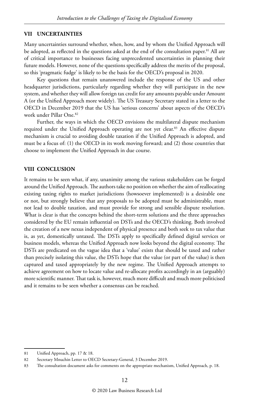#### **VII UNCERTAINTIES**

Many uncertainties surround whether, when, how, and by whom the Unified Approach will be adopted, as reflected in the questions asked at the end of the consultation paper.<sup>81</sup> All are of critical importance to businesses facing unprecedented uncertainties in planning their future models. However, none of the questions specifically address the merits of the proposal, so this 'pragmatic fudge' is likely to be the basis for the OECD's proposal in 2020.

Key questions that remain unanswered include the response of the US and other headquarter jurisdictions, particularly regarding whether they will participate in the new system, and whether they will allow foreign tax credit for any amounts payable under Amount A (or the Unified Approach more widely). The US Treasury Secretary stated in a letter to the OECD in December 2019 that the US has 'serious concerns' about aspects of the OECD's work under Pillar One.82

Further, the ways in which the OECD envisions the multilateral dispute mechanism required under the Unified Approach operating are not yet clear.<sup>83</sup> An effective dispute mechanism is crucial to avoiding double taxation if the Unified Approach is adopted, and must be a focus of: (1) the OECD in its work moving forward; and (2) those countries that choose to implement the Unified Approach in due course.

#### **VIII CONCLUSION**

It remains to be seen what, if any, unanimity among the various stakeholders can be forged around the Unified Approach. The authors take no position on whether the aim of reallocating existing taxing rights to market jurisdictions (howsoever implemented) is a desirable one or not, but strongly believe that any proposals to be adopted must be administrable, must not lead to double taxation, and must provide for strong and sensible dispute resolution. What is clear is that the concepts behind the short-term solutions and the three approaches considered by the EU remain influential on DSTs and the OECD's thinking. Both involved the creation of a new nexus independent of physical presence and both seek to tax value that is, as yet, domestically untaxed. The DSTs apply to specifically defined digital services or business models, whereas the Unified Approach now looks beyond the digital economy. The DSTs are predicated on the vague idea that a 'value' exists that should be taxed and rather than precisely isolating this value, the DSTs hope that the value (or part of the value) is then captured and taxed appropriately by the new regime. The Unified Approach attempts to achieve agreement on how to locate value and re-allocate profits accordingly in an (arguably) more scientific manner. That task is, however, much more difficult and much more politicised and it remains to be seen whether a consensus can be reached.

<sup>81</sup> Unified Approach, pp. 17 & 18.

<sup>82</sup> Secretary Mnuchin Letter to OECD Secretary-General, 3 December 2019.

<sup>83</sup> The consultation document asks for comments on the appropriate mechanism, Unified Approach, p. 18.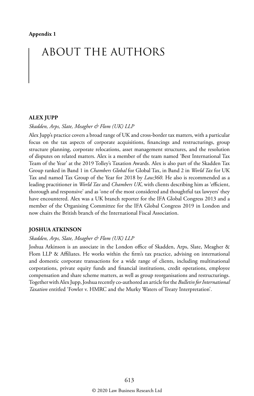### ABOUT THE AUTHORS

#### **ALEX JUPP**

#### *Skadden, Arps, Slate, Meagher & Flom (UK) LLP*

Alex Jupp's practice covers a broad range of UK and cross-border tax matters, with a particular focus on the tax aspects of corporate acquisitions, financings and restructurings, group structure planning, corporate relocations, asset management structures, and the resolution of disputes on related matters. Alex is a member of the team named 'Best International Tax Team of the Year' at the 2019 Tolley's Taxation Awards. Alex is also part of the Skadden Tax Group ranked in Band 1 in *Chambers Global* for Global Tax, in Band 2 in *World Tax* for UK Tax and named Tax Group of the Year for 2018 by *Law360*. He also is recommended as a leading practitioner in *World Tax* and *Chambers UK*, with clients describing him as 'efficient, thorough and responsive' and as 'one of the most considered and thoughtful tax lawyers' they have encountered. Alex was a UK branch reporter for the IFA Global Congress 2013 and a member of the Organising Committee for the IFA Global Congress 2019 in London and now chairs the British branch of the International Fiscal Association.

#### **JOSHUA ATKINSON**

#### *Skadden, Arps, Slate, Meagher & Flom (UK) LLP*

Joshua Atkinson is an associate in the London office of Skadden, Arps, Slate, Meagher & Flom LLP & Affiliates. He works within the firm's tax practice, advising on international and domestic corporate transactions for a wide range of clients, including multinational corporations, private equity funds and financial institutions, credit operations, employee compensation and share scheme matters, as well as group reorganisations and restructurings. Together with Alex Jupp, Joshua recently co-authored an article for the *Bulletin for International Taxation* entitled 'Fowler v. HMRC and the Murky Waters of Treaty Interpretation'.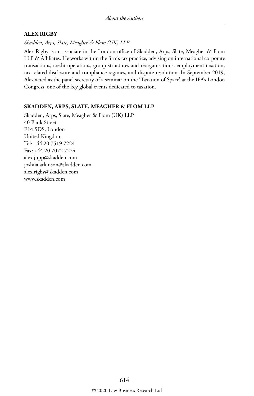#### **ALEX RIGBY**

*Skadden, Arps, Slate, Meagher & Flom (UK) LLP*

Alex Rigby is an associate in the London office of Skadden, Arps, Slate, Meagher & Flom LLP & Affiliates. He works within the firm's tax practice, advising on international corporate transactions, credit operations, group structures and reorganisations, employment taxation, tax-related disclosure and compliance regimes, and dispute resolution. In September 2019, Alex acted as the panel secretary of a seminar on the 'Taxation of Space' at the IFA's London Congress, one of the key global events dedicated to taxation.

#### **SKADDEN, ARPS, SLATE, MEAGHER & FLOM LLP**

Skadden, Arps, Slate, Meagher & Flom (UK) LLP 40 Bank Street E14 5DS, London United Kingdom Tel: +44 20 7519 7224 Fax: +44 20 7072 7224 alex.jupp@skadden.com joshua.atkinson@skadden.com alex.rigby@skadden.com www.skadden.com